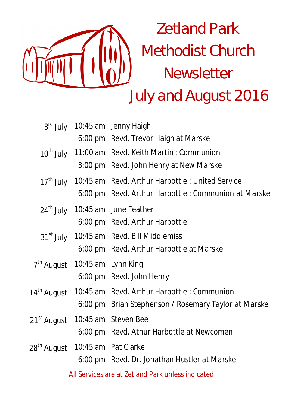

|                         |                                           | 3rd July 10:45 am Jenny Haigh                                          |
|-------------------------|-------------------------------------------|------------------------------------------------------------------------|
|                         |                                           | 6:00 pm Revd. Trevor Haigh at Marske                                   |
|                         |                                           | 10 <sup>th</sup> July 11:00 am Revd. Keith Martin: Communion           |
|                         |                                           | 3:00 pm Revd. John Henry at New Marske                                 |
|                         |                                           | 17 <sup>th</sup> July 10:45 am Revd. Arthur Harbottle : United Service |
|                         |                                           | 6:00 pm Revd. Arthur Harbottle : Communion at Marske                   |
|                         |                                           | 24 <sup>th</sup> July 10:45 am June Feather                            |
|                         |                                           | 6:00 pm Revd. Arthur Harbottle                                         |
|                         |                                           | 31 <sup>st</sup> July 10:45 am Revd. Bill Middlemiss                   |
|                         |                                           | 6:00 pm Revd. Arthur Harbottle at Marske                               |
|                         | 7 <sup>th</sup> August 10:45 am Lynn King |                                                                        |
|                         |                                           | 6:00 pm Revd. John Henry                                               |
| 14 <sup>th</sup> August |                                           | 10:45 am Revd. Arthur Harbottle: Communion                             |
|                         |                                           | 6:00 pm Brian Stephenson / Rosemary Taylor at Marske                   |
|                         |                                           | 21 <sup>st</sup> August 10:45 am Steven Bee                            |
|                         |                                           | 6:00 pm Revd. Athur Harbottle at Newcomen                              |
| 28 <sup>th</sup> August |                                           | 10:45 am Pat Clarke                                                    |
|                         |                                           | 6:00 pm Revd. Dr. Jonathan Hustler at Marske                           |
|                         |                                           | All Services are at Zetland Park unless indicated                      |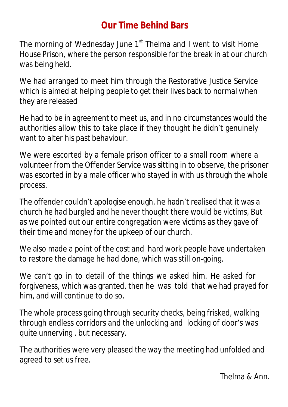# **Our Time Behind Bars**

The morning of Wednesday June  $1<sup>st</sup>$  Thelma and I went to visit Home House Prison, where the person responsible for the break in at our church was being held.

We had arranged to meet him through the Restorative Justice Service which is aimed at helping people to get their lives back to normal when they are released

He had to be in agreement to meet us, and in no circumstances would the authorities allow this to take place if they thought he didn't genuinely want to alter his past behaviour.

We were escorted by a female prison officer to a small room where a volunteer from the Offender Service was sitting in to observe, the prisoner was escorted in by a male officer who stayed in with us through the whole process.

The offender couldn't apologise enough, he hadn't realised that it was a church he had burgled and he never thought there would be victims, But as we pointed out our entire congregation were victims as they gave of their time and money for the upkeep of our church.

We also made a point of the cost and hard work people have undertaken to restore the damage he had done, which was still on-going.

We can't go in to detail of the things we asked him. He asked for forgiveness, which was granted, then he was told that we had prayed for him, and will continue to do so.

The whole process going through security checks, being frisked, walking through endless corridors and the unlocking and locking of door's was quite unnerving , but necessary.

The authorities were very pleased the way the meeting had unfolded and agreed to set us free.

Thelma & Ann.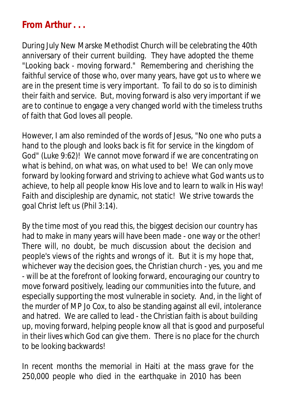# **From Arthur . . .**

During July New Marske Methodist Church will be celebrating the 40th anniversary of their current building. They have adopted the theme "Looking back - moving forward." Remembering and cherishing the faithful service of those who, over many years, have got us to where we are in the present time is very important. To fail to do so is to diminish their faith and service. But, moving forward is also very important if we are to continue to engage a very changed world with the timeless truths of faith that God loves all people.

However, I am also reminded of the words of Jesus, "No one who puts a hand to the plough and looks back is fit for service in the kingdom of God" (Luke 9:62)! We cannot move forward if we are concentrating on what is behind, on what was, on what used to be! We can only move forward by looking forward and striving to achieve what God wants us to achieve, to help all people know His love and to learn to walk in His way! Faith and discipleship are dynamic, not static! We strive towards the goal Christ left us (Phil 3:14).

By the time most of you read this, the biggest decision our country has had to make in many years will have been made - one way or the other! There will, no doubt, be much discussion about the decision and people's views of the rights and wrongs of it. But it is my hope that, whichever way the decision goes, the Christian church - yes, you and me - will be at the forefront of looking forward, encouraging our country to move forward positively, leading our communities into the future, and especially supporting the most vulnerable in society. And, in the light of the murder of MP Jo Cox, to also be standing against all evil, intolerance and hatred. We are called to lead - the Christian faith is about building up, moving forward, helping people know all that is good and purposeful in their lives which God can give them. There is no place for the church to be looking backwards!

In recent months the memorial in Haiti at the mass grave for the 250,000 people who died in the earthquake in 2010 has been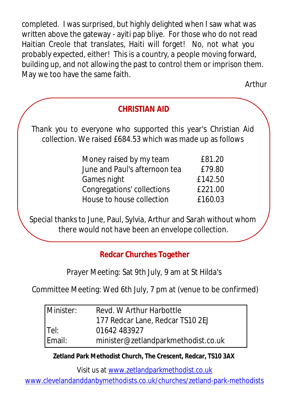completed. I was surprised, but highly delighted when I saw what was written above the gateway - ayiti pap bliye. For those who do not read Haitian Creole that translates, Haiti will forget! No, not what you probably expected, either! This is a country, a people moving forward, building up, and not allowing the past to control them or imprison them. May we too have the same faith.

Arthur

## **CHRISTIAN AID**

Thank you to everyone who supported this year's Christian Aid collection. We raised £684.53 which was made up as follows

| Money raised by my team       | £81.20  |
|-------------------------------|---------|
| June and Paul's afternoon tea | £79.80  |
| Games night                   | £142.50 |
| Congregations' collections    | £221.00 |
| House to house collection     | £160.03 |

Special thanks to June, Paul, Sylvia, Arthur and Sarah without whom there would not have been an envelope collection.

## **Redcar Churches Together**

Prayer Meeting: Sat 9th July, 9 am at St Hilda's

Committee Meeting: Wed 6th July, 7 pm at (venue to be confirmed)

| Minister: | Revd. W Arthur Harbottle            |
|-----------|-------------------------------------|
|           | 177 Redcar Lane, Redcar TS10 2EJ    |
| lTel:     | 01642 483927                        |
| Email:    | minister@zetlandparkmethodist.co.uk |

#### **Zetland Park Methodist Church, The Crescent, Redcar, TS10 3AX**

Visit us at www.zetlandparkmethodist.co.uk

www.clevelandanddanbymethodists.co.uk/churches/zetland-park-methodists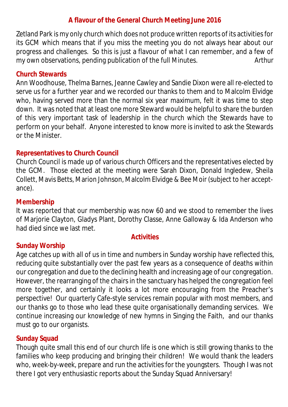#### **A flavour of the General Church Meeting June 2016**

Zetland Park is my only church which does not produce written reports of its activities for its GCM which means that if you miss the meeting you do not always hear about our progress and challenges. So this is just a flavour of what I can remember, and a few of my own observations, pending publication of the full Minutes. *Arthur*

#### **Church Stewards**

Ann Woodhouse, Thelma Barnes, Jeanne Cawley and Sandie Dixon were all re-elected to serve us for a further year and we recorded our thanks to them and to Malcolm Elvidge who, having served more than the normal six year maximum, felt it was time to step down. It was noted that at least one more Steward would be helpful to share the burden of this very important task of leadership in the church which the Stewards have to perform on your behalf. Anyone interested to know more is invited to ask the Stewards or the Minister.

#### **Representatives to Church Council**

Church Council is made up of various church Officers and the representatives elected by the GCM. Those elected at the meeting were Sarah Dixon, Donald Ingledew, Sheila Collett, Mavis Betts, Marion Johnson, Malcolm Elvidge & Bee Moir (subject to her acceptance).

#### **Membership**

It was reported that our membership was now 60 and we stood to remember the lives of Marjorie Clayton, Gladys Plant, Dorothy Classe, Anne Galloway & Ida Anderson who had died since we last met.

#### **Activities**

#### **Sunday Worship**

Age catches up with all of us in time and numbers in Sunday worship have reflected this, reducing quite substantially over the past few years as a consequence of deaths within our congregation and due to the declining health and increasing age of our congregation. However, the rearranging of the chairs in the sanctuary has helped the congregation feel more together, and certainly it looks a lot more encouraging from the Preacher's perspective! Our quarterly Cafe-style services remain popular with most members, and our thanks go to those who lead these quite organisationally demanding services. We continue increasing our knowledge of new hymns in Singing the Faith, and our thanks must go to our organists.

#### **Sunday Squad**

Though quite small this end of our church life is one which is still growing thanks to the families who keep producing and bringing their children! We would thank the leaders who, week-by-week, prepare and run the activities for the youngsters. Though I was not there I got very enthusiastic reports about the Sunday Squad Anniversary!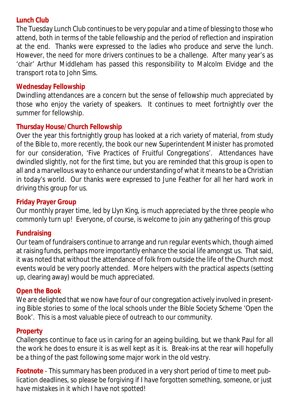#### **Lunch Club**

The Tuesday Lunch Club continues to be very popular and a time of blessing to those who attend, both in terms of the table fellowship and the period of reflection and inspiration at the end. Thanks were expressed to the ladies who produce and serve the lunch. However, the need for more drivers continues to be a challenge. After many year's as 'chair' Arthur Middleham has passed this responsibility to Malcolm Elvidge and the transport rota to John Sims.

#### **Wednesday Fellowship**

Dwindling attendances are a concern but the sense of fellowship much appreciated by those who enjoy the variety of speakers. It continues to meet fortnightly over the summer for fellowship.

#### **Thursday House/Church Fellowship**

Over the year this fortnightly group has looked at a rich variety of material, from study of the Bible to, more recently, the book our new Superintendent Minister has promoted for our consideration, 'Five Practices of Fruitful Congregations'. Attendances have dwindled slightly, not for the first time, but you are reminded that this group is open to all and a marvellous way to enhance our understanding of what it means to be a Christian in today's world. Our thanks were expressed to June Feather for all her hard work in driving this group for us.

#### **Friday Prayer Group**

Our monthly prayer time, led by Llyn King, is much appreciated by the three people who commonly turn up! Everyone, of course, is welcome to join any gathering of this group

#### **Fundraising**

Our team of fundraisers continue to arrange and run regular events which, though aimed at raising funds, perhaps more importantly enhance the social life amongst us. That said, it was noted that without the attendance of folk from outside the life of the Church most events would be very poorly attended. More helpers with the practical aspects (setting up, clearing away) would be much appreciated.

#### **Open the Book**

We are delighted that we now have four of our congregation actively involved in presenting Bible stories to some of the local schools under the Bible Society Scheme 'Open the Book'. This is a most valuable piece of outreach to our community.

#### **Property**

Challenges continue to face us in caring for an ageing building, but we thank Paul for all the work he does to ensure it is as well kept as it is. Break-ins at the rear will hopefully be a thing of the past following some major work in the old vestry.

*Footnote - This summary has been produced in a very short period of time to meet publication deadlines, so please be forgiving if I have forgotten something, someone, or just have mistakes in it which I have not spotted!*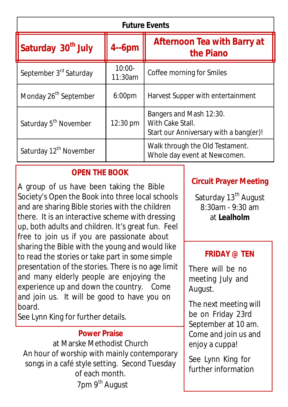| <b>Future Events</b>               |                      |                                                                                       |  |  |  |
|------------------------------------|----------------------|---------------------------------------------------------------------------------------|--|--|--|
| Saturday 30 <sup>th</sup> July     | $4 - 6pm$            | <b>Afternoon Tea with Barry at</b><br>the Piano                                       |  |  |  |
| September 3 <sup>rd</sup> Saturday | $10:00 -$<br>11:30am | Coffee morning for Smiles                                                             |  |  |  |
| Monday 26 <sup>th</sup> September  | 6:00 <sub>pm</sub>   | Harvest Supper with entertainment                                                     |  |  |  |
| Saturday 5 <sup>th</sup> November  | 12:30 pm             | Bangers and Mash 12:30.<br>With Cake Stall.<br>Start our Anniversary with a bang(er)! |  |  |  |
| Saturday 12 <sup>th</sup> November |                      | Walk through the Old Testament.<br>Whole day event at Newcomen.                       |  |  |  |

## **OPEN THE BOOK**

A group of us have been taking the Bible Society's Open the Book into three local schools and are sharing Bible stories with the children there. It is an interactive scheme with dressing up, both adults and children. It's great fun. Feel free to join us if you are passionate about sharing the Bible with the young and would like to read the stories or take part in some simple presentation of the stories. There is no age limit and many elderly people are enjoying the experience up and down the country. Come and join us. It will be good to have you on board.

See Lynn King for further details.

## **Power Praise**

at Marske Methodist Church An hour of worship with mainly contemporary songs in a café style setting. Second Tuesday of each month. 7pm 9<sup>th</sup> August

## **Circuit Prayer Meeting**

Saturday 13<sup>th</sup> August  $8.30$ am - 9.30 am at **Lealholm**

## **FRIDAY @ TEN**

There will be no meeting July and August.

The next meeting will be on Friday 23rd September at 10 am. Come and join us and enjoy a cuppa!

See Lynn King for further information